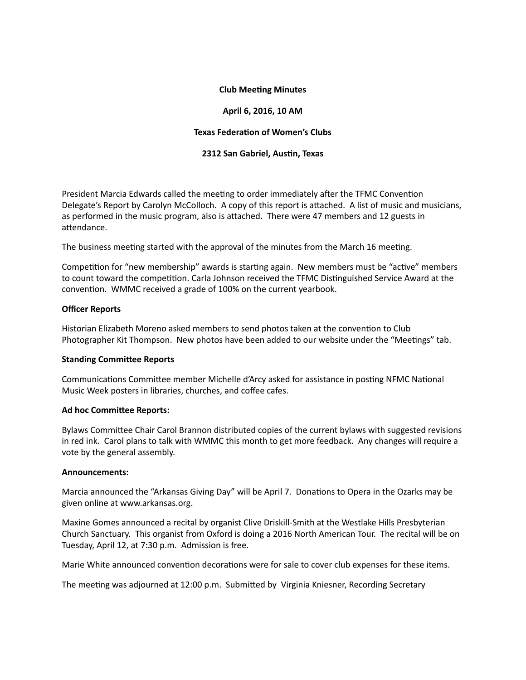# **Club Meeting Minutes**

### **April 6, 2016, 10 AM**

# **Texas Federation of Women's Clubs**

# **2312 San Gabriel, Austin, Texas**

President Marcia Edwards called the meeting to order immediately after the TFMC Convention Delegate's Report by Carolyn McColloch. A copy of this report is attached. A list of music and musicians, as performed in the music program, also is attached. There were 47 members and 12 guests in attendance.

The business meeting started with the approval of the minutes from the March 16 meeting.

Competition for "new membership" awards is starting again. New members must be "active" members to count toward the competition. Carla Johnson received the TFMC Distinguished Service Award at the convention. WMMC received a grade of 100% on the current yearbook.

### **Officer Reports**

Historian Elizabeth Moreno asked members to send photos taken at the convention to Club Photographer Kit Thompson. New photos have been added to our website under the "Meetings" tab.

### **Standing Committee Reports**

Communications Committee member Michelle d'Arcy asked for assistance in posting NFMC National Music Week posters in libraries, churches, and coffee cafes.

### **Ad hoc Committee Reports:**

Bylaws Committee Chair Carol Brannon distributed copies of the current bylaws with suggested revisions in red ink. Carol plans to talk with WMMC this month to get more feedback. Any changes will require a vote by the general assembly.

### **Announcements:**

Marcia announced the "Arkansas Giving Day" will be April 7. Donations to Opera in the Ozarks may be given online at www.arkansas.org.

Maxine Gomes announced a recital by organist Clive Driskill-Smith at the Westlake Hills Presbyterian Church Sanctuary. This organist from Oxford is doing a 2016 North American Tour. The recital will be on Tuesday, April 12, at 7:30 p.m. Admission is free.

Marie White announced convention decorations were for sale to cover club expenses for these items.

The meeting was adjourned at 12:00 p.m. Submitted by Virginia Kniesner, Recording Secretary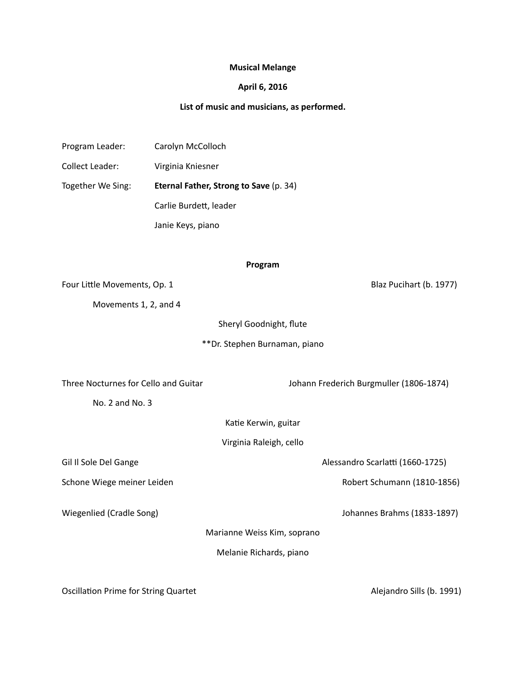#### **Musical Melange**

# **April 6, 2016**

## List of music and musicians, as performed.

| Program Leader:   | Carolyn McColloch                      |  |
|-------------------|----------------------------------------|--|
| Collect Leader:   | Virginia Kniesner                      |  |
| Together We Sing: | Eternal Father, Strong to Save (p. 34) |  |
|                   | Carlie Burdett, leader                 |  |
|                   | Janie Keys, piano                      |  |

#### **Program**

Four Little Movements, Op. 1 and the state of the Blaz Pucihart (b. 1977)

Movements 1, 2, and 4

Sheryl Goodnight, flute

\*\*Dr. Stephen Burnaman, piano

Three Nocturnes for Cello and Guitar **Integrational Manual Strute 1806-1874** Johann Frederich Burgmuller (1806-1874)

Alessandro Scarlatti (1660-1725)

No. 2 and No. 3

Katie Kerwin, guitar

Virginia Raleigh, cello

|  |  |  | Gil Il Sole Del Gange |
|--|--|--|-----------------------|
|--|--|--|-----------------------|

Schone Wiege meiner Leiden **Nach Schone Wiege meiner Leiden** and Base and Robert Schumann (1810-1856)

Wiegenlied (Cradle Song) **Michael Crading Crading Crading Crading Crading Crading Crading Crading Crading Crading Crading Crading Crading Crading Crading Crading Crading Crading Crading Crading Crading Crading Crading Crad** 

Marianne Weiss Kim, soprano

Melanie Richards, piano

Oscillation Prime for String Quartet **Alexandro** Sills (b. 1991) **Alejandro Sills** (b. 1991)